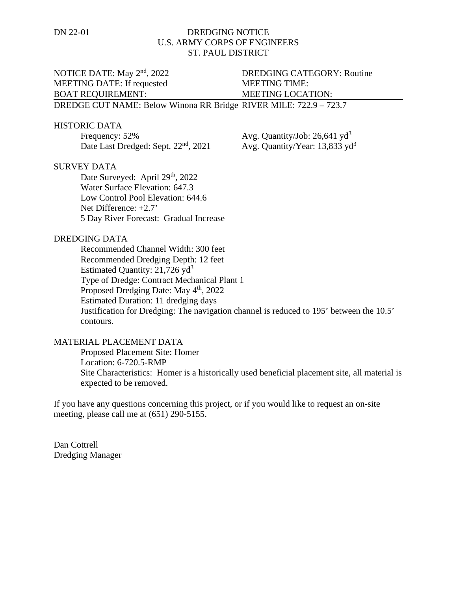# DN 22-01 DREDGING NOTICE U.S. ARMY CORPS OF ENGINEERS ST. PAUL DISTRICT

# MEETING DATE: If requested MEETING TIME: BOAT REQUIREMENT: MEETING LOCATION:

# NOTICE DATE: May 2<sup>nd</sup>, 2022 DREDGING CATEGORY: Routine

DREDGE CUT NAME: Below Winona RR Bridge RIVER MILE: 722.9 – 723.7

#### HISTORIC DATA

Frequency:  $52\%$  Avg. Quantity/Job:  $26,641 \text{ yd}^3$ Date Last Dredged: Sept. 22<sup>nd</sup>, 2021 Avg. Quantity/Year: 13,833 yd<sup>3</sup>

### SURVEY DATA

Date Surveyed: April 29<sup>th</sup>, 2022 Water Surface Elevation: 647.3 Low Control Pool Elevation: 644.6 Net Difference: +2.7' 5 Day River Forecast: Gradual Increase

#### DREDGING DATA

Recommended Channel Width: 300 feet Recommended Dredging Depth: 12 feet Estimated Quantity:  $21,726$  yd<sup>3</sup> Type of Dredge: Contract Mechanical Plant 1 Proposed Dredging Date: May 4<sup>th</sup>, 2022 Estimated Duration: 11 dredging days Justification for Dredging: The navigation channel is reduced to 195' between the 10.5' contours.

## MATERIAL PLACEMENT DATA

Proposed Placement Site: Homer Location: 6-720.5-RMP Site Characteristics: Homer is a historically used beneficial placement site, all material is expected to be removed.

If you have any questions concerning this project, or if you would like to request an on-site meeting, please call me at (651) 290-5155.

Dan Cottrell Dredging Manager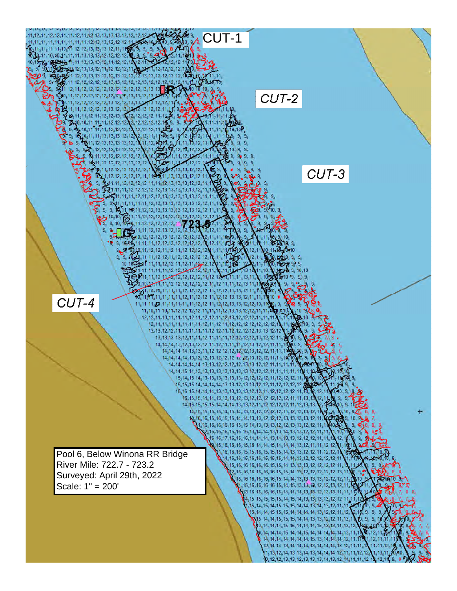